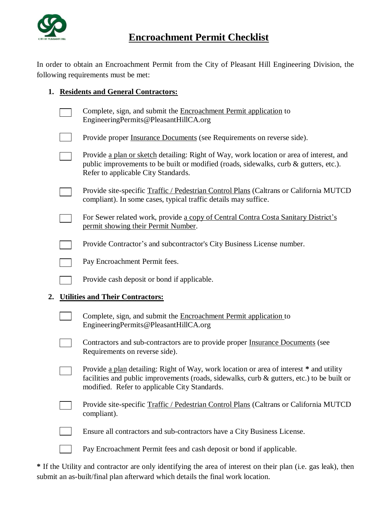

## **Encroachment Permit Checklist**

In order to obtain an Encroachment Permit from the City of Pleasant Hill Engineering Division, the following requirements must be met:

## **1. Residents and General Contractors:**

|                                               |  | Complete, sign, and submit the Encroachment Permit application to<br>EngineeringPermits@PleasantHillCA.org                                                                                                                                |
|-----------------------------------------------|--|-------------------------------------------------------------------------------------------------------------------------------------------------------------------------------------------------------------------------------------------|
|                                               |  | Provide proper Insurance Documents (see Requirements on reverse side).                                                                                                                                                                    |
|                                               |  | Provide a plan or sketch detailing: Right of Way, work location or area of interest, and<br>public improvements to be built or modified (roads, sidewalks, curb & gutters, etc.).<br>Refer to applicable City Standards.                  |
|                                               |  | Provide site-specific Traffic / Pedestrian Control Plans (Caltrans or California MUTCD<br>compliant). In some cases, typical traffic details may suffice.                                                                                 |
|                                               |  | For Sewer related work, provide a copy of Central Contra Costa Sanitary District's<br>permit showing their Permit Number.                                                                                                                 |
|                                               |  | Provide Contractor's and subcontractor's City Business License number.                                                                                                                                                                    |
|                                               |  | Pay Encroachment Permit fees.                                                                                                                                                                                                             |
|                                               |  | Provide cash deposit or bond if applicable.                                                                                                                                                                                               |
| 2.<br><b>Utilities and Their Contractors:</b> |  |                                                                                                                                                                                                                                           |
|                                               |  | Complete, sign, and submit the Encroachment Permit application to<br>EngineeringPermits@PleasantHillCA.org                                                                                                                                |
|                                               |  | Contractors and sub-contractors are to provide proper Insurance Documents (see<br>Requirements on reverse side).                                                                                                                          |
|                                               |  | Provide a plan detailing: Right of Way, work location or area of interest * and utility<br>facilities and public improvements (roads, sidewalks, curb $\&$ gutters, etc.) to be built or<br>modified. Refer to applicable City Standards. |
|                                               |  | Provide site-specific Traffic / Pedestrian Control Plans (Caltrans or California MUTCD<br>compliant).                                                                                                                                     |
|                                               |  | Ensure all contractors and sub-contractors have a City Business License.                                                                                                                                                                  |
|                                               |  | Pay Encroachment Permit fees and cash deposit or bond if applicable.                                                                                                                                                                      |

**\*** If the Utility and contractor are only identifying the area of interest on their plan (i.e. gas leak), then submit an as-built/final plan afterward which details the final work location.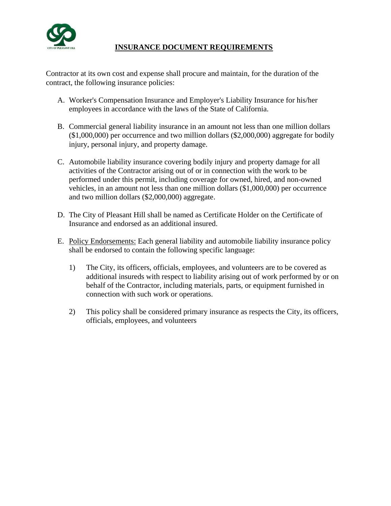

## **INSURANCE DOCUMENT REQUIREMENTS**

Contractor at its own cost and expense shall procure and maintain, for the duration of the contract, the following insurance policies:

- A. Worker's Compensation Insurance and Employer's Liability Insurance for his/her employees in accordance with the laws of the State of California.
- B. Commercial general liability insurance in an amount not less than one million dollars (\$1,000,000) per occurrence and two million dollars (\$2,000,000) aggregate for bodily injury, personal injury, and property damage.
- C. Automobile liability insurance covering bodily injury and property damage for all activities of the Contractor arising out of or in connection with the work to be performed under this permit, including coverage for owned, hired, and non-owned vehicles, in an amount not less than one million dollars (\$1,000,000) per occurrence and two million dollars (\$2,000,000) aggregate.
- D. The City of Pleasant Hill shall be named as Certificate Holder on the Certificate of Insurance and endorsed as an additional insured.
- E. Policy Endorsements: Each general liability and automobile liability insurance policy shall be endorsed to contain the following specific language:
	- 1) The City, its officers, officials, employees, and volunteers are to be covered as additional insureds with respect to liability arising out of work performed by or on behalf of the Contractor, including materials, parts, or equipment furnished in connection with such work or operations.
	- 2) This policy shall be considered primary insurance as respects the City, its officers, officials, employees, and volunteers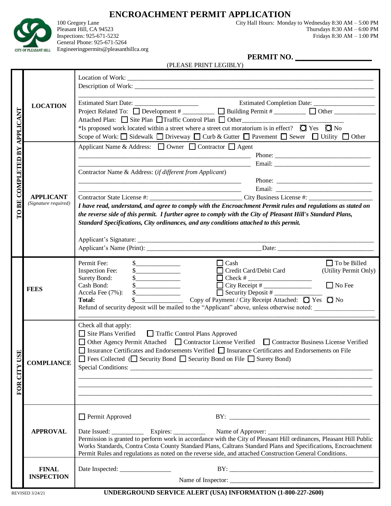

**ENCROACHMENT PERMIT APPLICATION**<br>100 Gregory Lane City Hall Hours: Monda

100 Gregory Lane City Hall Hours: Monday to Wednesday 8:30 AM – 5:00 PM Pleasant Hill, CA 94523<br>
Interstates: 925-671-5232<br>
Fridays 8:30 AM – 6:00 PM<br>
Fridays 8:30 AM – 1:00 PM Fridays  $8:30$  AM  $-1:00$  PM

General Phone: 925-671-5264 Engineeringpermits@pleasanthillca.org

**PERMIT NO. \_\_\_\_\_\_\_\_\_\_\_\_\_\_\_\_\_\_\_\_**

|                    | (PLEASE PRINT LEGIBLY)                   |                                                                                                                                                                                                                                                                                                                                                                                                                                                                                                                                         |  |  |  |
|--------------------|------------------------------------------|-----------------------------------------------------------------------------------------------------------------------------------------------------------------------------------------------------------------------------------------------------------------------------------------------------------------------------------------------------------------------------------------------------------------------------------------------------------------------------------------------------------------------------------------|--|--|--|
| APPLICANT          | <b>LOCATION</b>                          | *Is proposed work located within a street where a street cut moratorium is in effect? $\Box$ Yes $\Box$ No                                                                                                                                                                                                                                                                                                                                                                                                                              |  |  |  |
| TO BE COMPLETED BY | <b>APPLICANT</b><br>(Signature required) | Scope of Work: □ Sidewalk □ Driveway □ Curb & Gutter □ Pavement □ Sewer □ Utility □ Other<br>Applicant Name & Address: □ Owner □ Contractor □ Agent<br>Contractor Name & Address: (if different from Applicant)<br>I have read, understand, and agree to comply with the Encroachment Permit rules and regulations as stated on<br>the reverse side of this permit. I further agree to comply with the City of Pleasant Hill's Standard Plans,<br>Standard Specifications, City ordinances, and any conditions attached to this permit. |  |  |  |
|                    | <b>FEES</b>                              | $\Box$ To be Billed<br>Permit Fee:<br>$\Box$ Cash<br>s<br>Credit Card/Debit Card<br>(Utility Permit Only)<br>Inspection Fee:<br>Surety Bond:<br>$\Box$ No Fee<br>$\Box$ City Receipt # $\Box$<br>Cash Bond:<br>Security Deposit #<br>Accela Fee (7%):<br>$\frac{1}{2}$ Copy of Payment / City Receipt Attached: $\frac{1}{2}$ Yes $\frac{1}{2}$ No<br><b>Total:</b><br>Refund of security deposit will be mailed to the "Applicant" above, unless otherwise noted:                                                                      |  |  |  |
| FOR CITY USE       | <b>COMPLIANCE</b>                        | Check all that apply:<br>Site Plans Verified<br>Traffic Control Plans Approved<br>□ Other Agency Permit Attached □ Contractor License Verified □ Contractor Business License Verified<br>□ Insurance Certificates and Endorsements Verified □ Insurance Certificates and Endorsements on File<br>□ Fees Collected (□ Security Bond □ Security Bond on File □ Surety Bond)<br>Special Conditions:                                                                                                                                        |  |  |  |
|                    | <b>APPROVAL</b>                          | Permit Approved<br>Date Issued: Expires: Expires: Name of Approver: ________________________________<br>Permission is granted to perform work in accordance with the City of Pleasant Hill ordinances, Pleasant Hill Public<br>Works Standards, Contra Costa County Standard Plans, Caltrans Standard Plans and Specifications, Encroachment<br>Permit Rules and regulations as noted on the reverse side, and attached Construction General Conditions.                                                                                |  |  |  |
|                    | <b>FINAL</b><br><b>INSPECTION</b>        |                                                                                                                                                                                                                                                                                                                                                                                                                                                                                                                                         |  |  |  |

**REVISED 3/24/21 UNDERGROUND SERVICE ALERT (USA) INFORMATION (1-800-227-2600)**